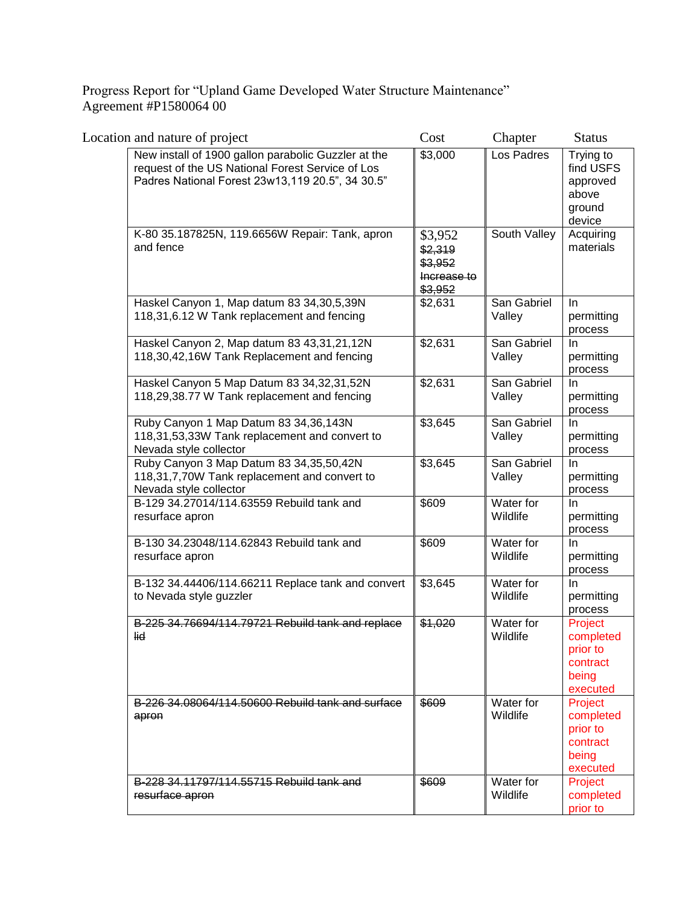Progress Report for "Upland Game Developed Water Structure Maintenance" Agreement #P1580064 00

| Location and nature of project                                                                                                                              | Cost                                                    | Chapter               | <b>Status</b>                                                     |
|-------------------------------------------------------------------------------------------------------------------------------------------------------------|---------------------------------------------------------|-----------------------|-------------------------------------------------------------------|
| New install of 1900 gallon parabolic Guzzler at the<br>request of the US National Forest Service of Los<br>Padres National Forest 23w13,119 20.5", 34 30.5" | \$3,000                                                 | Los Padres            | Trying to<br>find USFS<br>approved<br>above<br>ground<br>device   |
| K-80 35.187825N, 119.6656W Repair: Tank, apron<br>and fence                                                                                                 | \$3,952<br>\$2,319<br>\$3,952<br>Increase to<br>\$3,952 | South Valley          | Acquiring<br>materials                                            |
| Haskel Canyon 1, Map datum 83 34,30,5,39N<br>118,31,6.12 W Tank replacement and fencing                                                                     | \$2,631                                                 | San Gabriel<br>Valley | <b>In</b><br>permitting<br>process                                |
| Haskel Canyon 2, Map datum 83 43,31,21,12N<br>118,30,42,16W Tank Replacement and fencing                                                                    | \$2,631                                                 | San Gabriel<br>Valley | In.<br>permitting<br>process                                      |
| Haskel Canyon 5 Map Datum 83 34,32,31,52N<br>118,29,38.77 W Tank replacement and fencing                                                                    | \$2,631                                                 | San Gabriel<br>Valley | In<br>permitting<br>process                                       |
| Ruby Canyon 1 Map Datum 83 34,36,143N<br>118,31,53,33W Tank replacement and convert to<br>Nevada style collector                                            | \$3,645                                                 | San Gabriel<br>Valley | In<br>permitting<br>process                                       |
| Ruby Canyon 3 Map Datum 83 34,35,50,42N<br>118,31,7,70W Tank replacement and convert to<br>Nevada style collector                                           | \$3,645                                                 | San Gabriel<br>Valley | In<br>permitting<br>process                                       |
| B-129 34.27014/114.63559 Rebuild tank and<br>resurface apron                                                                                                | \$609                                                   | Water for<br>Wildlife | In<br>permitting<br>process                                       |
| B-130 34.23048/114.62843 Rebuild tank and<br>resurface apron                                                                                                | \$609                                                   | Water for<br>Wildlife | <b>In</b><br>permitting<br>process                                |
| B-132 34.44406/114.66211 Replace tank and convert<br>to Nevada style guzzler                                                                                | \$3,645                                                 | Water for<br>Wildlife | -In<br>permitting<br>process                                      |
| B-225 34.76694/114.79721 Rebuild tank and replace<br>lid                                                                                                    | \$1,020                                                 | Water for<br>Wildlife | Project<br>completed<br>prior to<br>contract<br>being<br>executed |
| B-226 34.08064/114.50600 Rebuild tank and surface<br>apron                                                                                                  | \$609                                                   | Water for<br>Wildlife | Project<br>completed<br>prior to<br>contract<br>being<br>executed |
| B-228 34.11797/114.55715 Rebuild tank and<br>resurface apron                                                                                                | \$609                                                   | Water for<br>Wildlife | Project<br>completed<br>prior to                                  |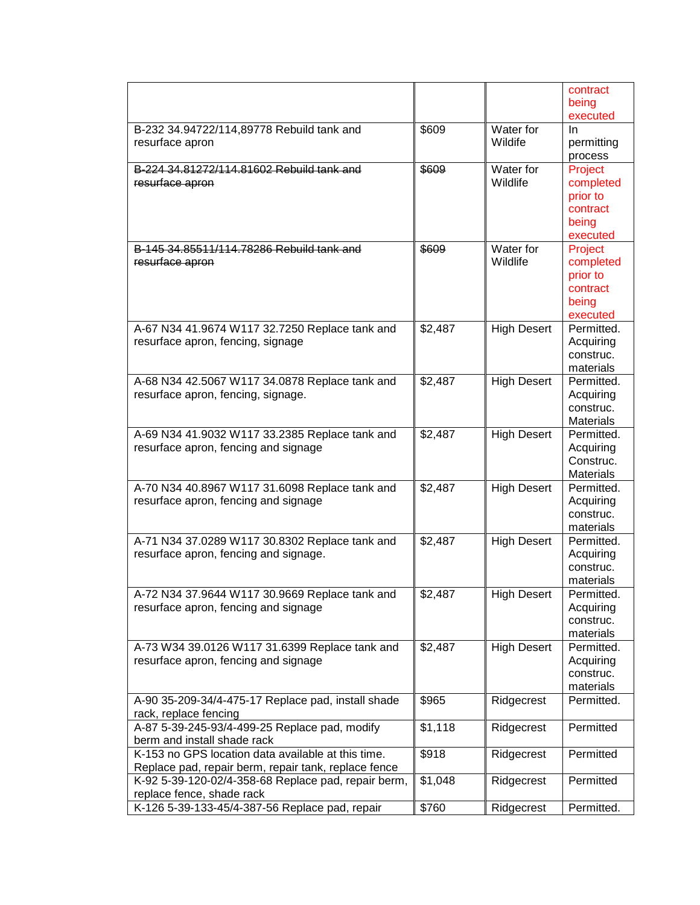| executed<br>\$609<br>Water for<br>B-232 34.94722/114,89778 Rebuild tank and<br>In<br>Wildife<br>resurface apron<br>permitting<br>process<br>B-224 34.81272/114.81602 Rebuild tank and<br>Water for<br>\$609<br>Project<br>Wildlife<br>completed<br>resurface apron<br>prior to<br>contract<br>being<br>executed<br>Water for<br>B-145 34.85511/114.78286 Rebuild tank and<br>\$609<br>Project<br>Wildlife<br>resurface apron<br>completed<br>prior to<br>contract<br>being<br>executed<br>\$2,487<br><b>High Desert</b><br>Permitted.<br>A-67 N34 41.9674 W117 32.7250 Replace tank and<br>resurface apron, fencing, signage<br>Acquiring<br>construc.<br>materials<br>\$2,487<br><b>High Desert</b><br>Permitted.<br>A-68 N34 42.5067 W117 34.0878 Replace tank and<br>resurface apron, fencing, signage.<br>Acquiring<br>construc.<br><b>Materials</b><br>\$2,487<br><b>High Desert</b><br>A-69 N34 41.9032 W117 33.2385 Replace tank and<br>Permitted.<br>resurface apron, fencing and signage<br>Acquiring<br>Construc.<br>Materials<br>\$2,487<br><b>High Desert</b><br>A-70 N34 40.8967 W117 31.6098 Replace tank and<br>Permitted.<br>resurface apron, fencing and signage<br>Acquiring<br>construc.<br>materials<br><b>High Desert</b><br>A-71 N34 37.0289 W117 30.8302 Replace tank and<br>\$2,487<br>Permitted.<br>resurface apron, fencing and signage.<br>Acquiring<br>construc.<br>materials<br>A-72 N34 37.9644 W117 30.9669 Replace tank and<br>\$2,487<br><b>High Desert</b><br>Permitted.<br>resurface apron, fencing and signage<br>Acquiring<br>construc.<br>materials<br>\$2,487<br><b>High Desert</b><br>Permitted.<br>A-73 W34 39.0126 W117 31.6399 Replace tank and<br>resurface apron, fencing and signage<br>Acquiring<br>construc.<br>materials<br>\$965<br>Ridgecrest<br>Permitted.<br>A-90 35-209-34/4-475-17 Replace pad, install shade<br>rack, replace fencing<br>A-87 5-39-245-93/4-499-25 Replace pad, modify<br>Permitted<br>\$1,118<br>Ridgecrest<br>berm and install shade rack<br>K-153 no GPS location data available at this time.<br>\$918<br>Ridgecrest<br>Permitted<br>Replace pad, repair berm, repair tank, replace fence<br>K-92 5-39-120-02/4-358-68 Replace pad, repair berm,<br>\$1,048<br>Ridgecrest<br>Permitted<br>replace fence, shade rack<br>K-126 5-39-133-45/4-387-56 Replace pad, repair<br>\$760<br>Permitted.<br>Ridgecrest |  | contract |
|----------------------------------------------------------------------------------------------------------------------------------------------------------------------------------------------------------------------------------------------------------------------------------------------------------------------------------------------------------------------------------------------------------------------------------------------------------------------------------------------------------------------------------------------------------------------------------------------------------------------------------------------------------------------------------------------------------------------------------------------------------------------------------------------------------------------------------------------------------------------------------------------------------------------------------------------------------------------------------------------------------------------------------------------------------------------------------------------------------------------------------------------------------------------------------------------------------------------------------------------------------------------------------------------------------------------------------------------------------------------------------------------------------------------------------------------------------------------------------------------------------------------------------------------------------------------------------------------------------------------------------------------------------------------------------------------------------------------------------------------------------------------------------------------------------------------------------------------------------------------------------------------------------------------------------------------------------------------------------------------------------------------------------------------------------------------------------------------------------------------------------------------------------------------------------------------------------------------------------------------------------------------------------------------------------------------------------------------------------------------------------------|--|----------|
|                                                                                                                                                                                                                                                                                                                                                                                                                                                                                                                                                                                                                                                                                                                                                                                                                                                                                                                                                                                                                                                                                                                                                                                                                                                                                                                                                                                                                                                                                                                                                                                                                                                                                                                                                                                                                                                                                                                                                                                                                                                                                                                                                                                                                                                                                                                                                                                        |  | being    |
|                                                                                                                                                                                                                                                                                                                                                                                                                                                                                                                                                                                                                                                                                                                                                                                                                                                                                                                                                                                                                                                                                                                                                                                                                                                                                                                                                                                                                                                                                                                                                                                                                                                                                                                                                                                                                                                                                                                                                                                                                                                                                                                                                                                                                                                                                                                                                                                        |  |          |
|                                                                                                                                                                                                                                                                                                                                                                                                                                                                                                                                                                                                                                                                                                                                                                                                                                                                                                                                                                                                                                                                                                                                                                                                                                                                                                                                                                                                                                                                                                                                                                                                                                                                                                                                                                                                                                                                                                                                                                                                                                                                                                                                                                                                                                                                                                                                                                                        |  |          |
|                                                                                                                                                                                                                                                                                                                                                                                                                                                                                                                                                                                                                                                                                                                                                                                                                                                                                                                                                                                                                                                                                                                                                                                                                                                                                                                                                                                                                                                                                                                                                                                                                                                                                                                                                                                                                                                                                                                                                                                                                                                                                                                                                                                                                                                                                                                                                                                        |  |          |
|                                                                                                                                                                                                                                                                                                                                                                                                                                                                                                                                                                                                                                                                                                                                                                                                                                                                                                                                                                                                                                                                                                                                                                                                                                                                                                                                                                                                                                                                                                                                                                                                                                                                                                                                                                                                                                                                                                                                                                                                                                                                                                                                                                                                                                                                                                                                                                                        |  |          |
|                                                                                                                                                                                                                                                                                                                                                                                                                                                                                                                                                                                                                                                                                                                                                                                                                                                                                                                                                                                                                                                                                                                                                                                                                                                                                                                                                                                                                                                                                                                                                                                                                                                                                                                                                                                                                                                                                                                                                                                                                                                                                                                                                                                                                                                                                                                                                                                        |  |          |
|                                                                                                                                                                                                                                                                                                                                                                                                                                                                                                                                                                                                                                                                                                                                                                                                                                                                                                                                                                                                                                                                                                                                                                                                                                                                                                                                                                                                                                                                                                                                                                                                                                                                                                                                                                                                                                                                                                                                                                                                                                                                                                                                                                                                                                                                                                                                                                                        |  |          |
|                                                                                                                                                                                                                                                                                                                                                                                                                                                                                                                                                                                                                                                                                                                                                                                                                                                                                                                                                                                                                                                                                                                                                                                                                                                                                                                                                                                                                                                                                                                                                                                                                                                                                                                                                                                                                                                                                                                                                                                                                                                                                                                                                                                                                                                                                                                                                                                        |  |          |
|                                                                                                                                                                                                                                                                                                                                                                                                                                                                                                                                                                                                                                                                                                                                                                                                                                                                                                                                                                                                                                                                                                                                                                                                                                                                                                                                                                                                                                                                                                                                                                                                                                                                                                                                                                                                                                                                                                                                                                                                                                                                                                                                                                                                                                                                                                                                                                                        |  |          |
|                                                                                                                                                                                                                                                                                                                                                                                                                                                                                                                                                                                                                                                                                                                                                                                                                                                                                                                                                                                                                                                                                                                                                                                                                                                                                                                                                                                                                                                                                                                                                                                                                                                                                                                                                                                                                                                                                                                                                                                                                                                                                                                                                                                                                                                                                                                                                                                        |  |          |
|                                                                                                                                                                                                                                                                                                                                                                                                                                                                                                                                                                                                                                                                                                                                                                                                                                                                                                                                                                                                                                                                                                                                                                                                                                                                                                                                                                                                                                                                                                                                                                                                                                                                                                                                                                                                                                                                                                                                                                                                                                                                                                                                                                                                                                                                                                                                                                                        |  |          |
|                                                                                                                                                                                                                                                                                                                                                                                                                                                                                                                                                                                                                                                                                                                                                                                                                                                                                                                                                                                                                                                                                                                                                                                                                                                                                                                                                                                                                                                                                                                                                                                                                                                                                                                                                                                                                                                                                                                                                                                                                                                                                                                                                                                                                                                                                                                                                                                        |  |          |
|                                                                                                                                                                                                                                                                                                                                                                                                                                                                                                                                                                                                                                                                                                                                                                                                                                                                                                                                                                                                                                                                                                                                                                                                                                                                                                                                                                                                                                                                                                                                                                                                                                                                                                                                                                                                                                                                                                                                                                                                                                                                                                                                                                                                                                                                                                                                                                                        |  |          |
|                                                                                                                                                                                                                                                                                                                                                                                                                                                                                                                                                                                                                                                                                                                                                                                                                                                                                                                                                                                                                                                                                                                                                                                                                                                                                                                                                                                                                                                                                                                                                                                                                                                                                                                                                                                                                                                                                                                                                                                                                                                                                                                                                                                                                                                                                                                                                                                        |  |          |
|                                                                                                                                                                                                                                                                                                                                                                                                                                                                                                                                                                                                                                                                                                                                                                                                                                                                                                                                                                                                                                                                                                                                                                                                                                                                                                                                                                                                                                                                                                                                                                                                                                                                                                                                                                                                                                                                                                                                                                                                                                                                                                                                                                                                                                                                                                                                                                                        |  |          |
|                                                                                                                                                                                                                                                                                                                                                                                                                                                                                                                                                                                                                                                                                                                                                                                                                                                                                                                                                                                                                                                                                                                                                                                                                                                                                                                                                                                                                                                                                                                                                                                                                                                                                                                                                                                                                                                                                                                                                                                                                                                                                                                                                                                                                                                                                                                                                                                        |  |          |
|                                                                                                                                                                                                                                                                                                                                                                                                                                                                                                                                                                                                                                                                                                                                                                                                                                                                                                                                                                                                                                                                                                                                                                                                                                                                                                                                                                                                                                                                                                                                                                                                                                                                                                                                                                                                                                                                                                                                                                                                                                                                                                                                                                                                                                                                                                                                                                                        |  |          |
|                                                                                                                                                                                                                                                                                                                                                                                                                                                                                                                                                                                                                                                                                                                                                                                                                                                                                                                                                                                                                                                                                                                                                                                                                                                                                                                                                                                                                                                                                                                                                                                                                                                                                                                                                                                                                                                                                                                                                                                                                                                                                                                                                                                                                                                                                                                                                                                        |  |          |
|                                                                                                                                                                                                                                                                                                                                                                                                                                                                                                                                                                                                                                                                                                                                                                                                                                                                                                                                                                                                                                                                                                                                                                                                                                                                                                                                                                                                                                                                                                                                                                                                                                                                                                                                                                                                                                                                                                                                                                                                                                                                                                                                                                                                                                                                                                                                                                                        |  |          |
|                                                                                                                                                                                                                                                                                                                                                                                                                                                                                                                                                                                                                                                                                                                                                                                                                                                                                                                                                                                                                                                                                                                                                                                                                                                                                                                                                                                                                                                                                                                                                                                                                                                                                                                                                                                                                                                                                                                                                                                                                                                                                                                                                                                                                                                                                                                                                                                        |  |          |
|                                                                                                                                                                                                                                                                                                                                                                                                                                                                                                                                                                                                                                                                                                                                                                                                                                                                                                                                                                                                                                                                                                                                                                                                                                                                                                                                                                                                                                                                                                                                                                                                                                                                                                                                                                                                                                                                                                                                                                                                                                                                                                                                                                                                                                                                                                                                                                                        |  |          |
|                                                                                                                                                                                                                                                                                                                                                                                                                                                                                                                                                                                                                                                                                                                                                                                                                                                                                                                                                                                                                                                                                                                                                                                                                                                                                                                                                                                                                                                                                                                                                                                                                                                                                                                                                                                                                                                                                                                                                                                                                                                                                                                                                                                                                                                                                                                                                                                        |  |          |
|                                                                                                                                                                                                                                                                                                                                                                                                                                                                                                                                                                                                                                                                                                                                                                                                                                                                                                                                                                                                                                                                                                                                                                                                                                                                                                                                                                                                                                                                                                                                                                                                                                                                                                                                                                                                                                                                                                                                                                                                                                                                                                                                                                                                                                                                                                                                                                                        |  |          |
|                                                                                                                                                                                                                                                                                                                                                                                                                                                                                                                                                                                                                                                                                                                                                                                                                                                                                                                                                                                                                                                                                                                                                                                                                                                                                                                                                                                                                                                                                                                                                                                                                                                                                                                                                                                                                                                                                                                                                                                                                                                                                                                                                                                                                                                                                                                                                                                        |  |          |
|                                                                                                                                                                                                                                                                                                                                                                                                                                                                                                                                                                                                                                                                                                                                                                                                                                                                                                                                                                                                                                                                                                                                                                                                                                                                                                                                                                                                                                                                                                                                                                                                                                                                                                                                                                                                                                                                                                                                                                                                                                                                                                                                                                                                                                                                                                                                                                                        |  |          |
|                                                                                                                                                                                                                                                                                                                                                                                                                                                                                                                                                                                                                                                                                                                                                                                                                                                                                                                                                                                                                                                                                                                                                                                                                                                                                                                                                                                                                                                                                                                                                                                                                                                                                                                                                                                                                                                                                                                                                                                                                                                                                                                                                                                                                                                                                                                                                                                        |  |          |
|                                                                                                                                                                                                                                                                                                                                                                                                                                                                                                                                                                                                                                                                                                                                                                                                                                                                                                                                                                                                                                                                                                                                                                                                                                                                                                                                                                                                                                                                                                                                                                                                                                                                                                                                                                                                                                                                                                                                                                                                                                                                                                                                                                                                                                                                                                                                                                                        |  |          |
|                                                                                                                                                                                                                                                                                                                                                                                                                                                                                                                                                                                                                                                                                                                                                                                                                                                                                                                                                                                                                                                                                                                                                                                                                                                                                                                                                                                                                                                                                                                                                                                                                                                                                                                                                                                                                                                                                                                                                                                                                                                                                                                                                                                                                                                                                                                                                                                        |  |          |
|                                                                                                                                                                                                                                                                                                                                                                                                                                                                                                                                                                                                                                                                                                                                                                                                                                                                                                                                                                                                                                                                                                                                                                                                                                                                                                                                                                                                                                                                                                                                                                                                                                                                                                                                                                                                                                                                                                                                                                                                                                                                                                                                                                                                                                                                                                                                                                                        |  |          |
|                                                                                                                                                                                                                                                                                                                                                                                                                                                                                                                                                                                                                                                                                                                                                                                                                                                                                                                                                                                                                                                                                                                                                                                                                                                                                                                                                                                                                                                                                                                                                                                                                                                                                                                                                                                                                                                                                                                                                                                                                                                                                                                                                                                                                                                                                                                                                                                        |  |          |
|                                                                                                                                                                                                                                                                                                                                                                                                                                                                                                                                                                                                                                                                                                                                                                                                                                                                                                                                                                                                                                                                                                                                                                                                                                                                                                                                                                                                                                                                                                                                                                                                                                                                                                                                                                                                                                                                                                                                                                                                                                                                                                                                                                                                                                                                                                                                                                                        |  |          |
|                                                                                                                                                                                                                                                                                                                                                                                                                                                                                                                                                                                                                                                                                                                                                                                                                                                                                                                                                                                                                                                                                                                                                                                                                                                                                                                                                                                                                                                                                                                                                                                                                                                                                                                                                                                                                                                                                                                                                                                                                                                                                                                                                                                                                                                                                                                                                                                        |  |          |
|                                                                                                                                                                                                                                                                                                                                                                                                                                                                                                                                                                                                                                                                                                                                                                                                                                                                                                                                                                                                                                                                                                                                                                                                                                                                                                                                                                                                                                                                                                                                                                                                                                                                                                                                                                                                                                                                                                                                                                                                                                                                                                                                                                                                                                                                                                                                                                                        |  |          |
|                                                                                                                                                                                                                                                                                                                                                                                                                                                                                                                                                                                                                                                                                                                                                                                                                                                                                                                                                                                                                                                                                                                                                                                                                                                                                                                                                                                                                                                                                                                                                                                                                                                                                                                                                                                                                                                                                                                                                                                                                                                                                                                                                                                                                                                                                                                                                                                        |  |          |
|                                                                                                                                                                                                                                                                                                                                                                                                                                                                                                                                                                                                                                                                                                                                                                                                                                                                                                                                                                                                                                                                                                                                                                                                                                                                                                                                                                                                                                                                                                                                                                                                                                                                                                                                                                                                                                                                                                                                                                                                                                                                                                                                                                                                                                                                                                                                                                                        |  |          |
|                                                                                                                                                                                                                                                                                                                                                                                                                                                                                                                                                                                                                                                                                                                                                                                                                                                                                                                                                                                                                                                                                                                                                                                                                                                                                                                                                                                                                                                                                                                                                                                                                                                                                                                                                                                                                                                                                                                                                                                                                                                                                                                                                                                                                                                                                                                                                                                        |  |          |
|                                                                                                                                                                                                                                                                                                                                                                                                                                                                                                                                                                                                                                                                                                                                                                                                                                                                                                                                                                                                                                                                                                                                                                                                                                                                                                                                                                                                                                                                                                                                                                                                                                                                                                                                                                                                                                                                                                                                                                                                                                                                                                                                                                                                                                                                                                                                                                                        |  |          |
|                                                                                                                                                                                                                                                                                                                                                                                                                                                                                                                                                                                                                                                                                                                                                                                                                                                                                                                                                                                                                                                                                                                                                                                                                                                                                                                                                                                                                                                                                                                                                                                                                                                                                                                                                                                                                                                                                                                                                                                                                                                                                                                                                                                                                                                                                                                                                                                        |  |          |
|                                                                                                                                                                                                                                                                                                                                                                                                                                                                                                                                                                                                                                                                                                                                                                                                                                                                                                                                                                                                                                                                                                                                                                                                                                                                                                                                                                                                                                                                                                                                                                                                                                                                                                                                                                                                                                                                                                                                                                                                                                                                                                                                                                                                                                                                                                                                                                                        |  |          |
|                                                                                                                                                                                                                                                                                                                                                                                                                                                                                                                                                                                                                                                                                                                                                                                                                                                                                                                                                                                                                                                                                                                                                                                                                                                                                                                                                                                                                                                                                                                                                                                                                                                                                                                                                                                                                                                                                                                                                                                                                                                                                                                                                                                                                                                                                                                                                                                        |  |          |
|                                                                                                                                                                                                                                                                                                                                                                                                                                                                                                                                                                                                                                                                                                                                                                                                                                                                                                                                                                                                                                                                                                                                                                                                                                                                                                                                                                                                                                                                                                                                                                                                                                                                                                                                                                                                                                                                                                                                                                                                                                                                                                                                                                                                                                                                                                                                                                                        |  |          |
|                                                                                                                                                                                                                                                                                                                                                                                                                                                                                                                                                                                                                                                                                                                                                                                                                                                                                                                                                                                                                                                                                                                                                                                                                                                                                                                                                                                                                                                                                                                                                                                                                                                                                                                                                                                                                                                                                                                                                                                                                                                                                                                                                                                                                                                                                                                                                                                        |  |          |
|                                                                                                                                                                                                                                                                                                                                                                                                                                                                                                                                                                                                                                                                                                                                                                                                                                                                                                                                                                                                                                                                                                                                                                                                                                                                                                                                                                                                                                                                                                                                                                                                                                                                                                                                                                                                                                                                                                                                                                                                                                                                                                                                                                                                                                                                                                                                                                                        |  |          |
|                                                                                                                                                                                                                                                                                                                                                                                                                                                                                                                                                                                                                                                                                                                                                                                                                                                                                                                                                                                                                                                                                                                                                                                                                                                                                                                                                                                                                                                                                                                                                                                                                                                                                                                                                                                                                                                                                                                                                                                                                                                                                                                                                                                                                                                                                                                                                                                        |  |          |
|                                                                                                                                                                                                                                                                                                                                                                                                                                                                                                                                                                                                                                                                                                                                                                                                                                                                                                                                                                                                                                                                                                                                                                                                                                                                                                                                                                                                                                                                                                                                                                                                                                                                                                                                                                                                                                                                                                                                                                                                                                                                                                                                                                                                                                                                                                                                                                                        |  |          |
|                                                                                                                                                                                                                                                                                                                                                                                                                                                                                                                                                                                                                                                                                                                                                                                                                                                                                                                                                                                                                                                                                                                                                                                                                                                                                                                                                                                                                                                                                                                                                                                                                                                                                                                                                                                                                                                                                                                                                                                                                                                                                                                                                                                                                                                                                                                                                                                        |  |          |
|                                                                                                                                                                                                                                                                                                                                                                                                                                                                                                                                                                                                                                                                                                                                                                                                                                                                                                                                                                                                                                                                                                                                                                                                                                                                                                                                                                                                                                                                                                                                                                                                                                                                                                                                                                                                                                                                                                                                                                                                                                                                                                                                                                                                                                                                                                                                                                                        |  |          |
|                                                                                                                                                                                                                                                                                                                                                                                                                                                                                                                                                                                                                                                                                                                                                                                                                                                                                                                                                                                                                                                                                                                                                                                                                                                                                                                                                                                                                                                                                                                                                                                                                                                                                                                                                                                                                                                                                                                                                                                                                                                                                                                                                                                                                                                                                                                                                                                        |  |          |
|                                                                                                                                                                                                                                                                                                                                                                                                                                                                                                                                                                                                                                                                                                                                                                                                                                                                                                                                                                                                                                                                                                                                                                                                                                                                                                                                                                                                                                                                                                                                                                                                                                                                                                                                                                                                                                                                                                                                                                                                                                                                                                                                                                                                                                                                                                                                                                                        |  |          |
|                                                                                                                                                                                                                                                                                                                                                                                                                                                                                                                                                                                                                                                                                                                                                                                                                                                                                                                                                                                                                                                                                                                                                                                                                                                                                                                                                                                                                                                                                                                                                                                                                                                                                                                                                                                                                                                                                                                                                                                                                                                                                                                                                                                                                                                                                                                                                                                        |  |          |